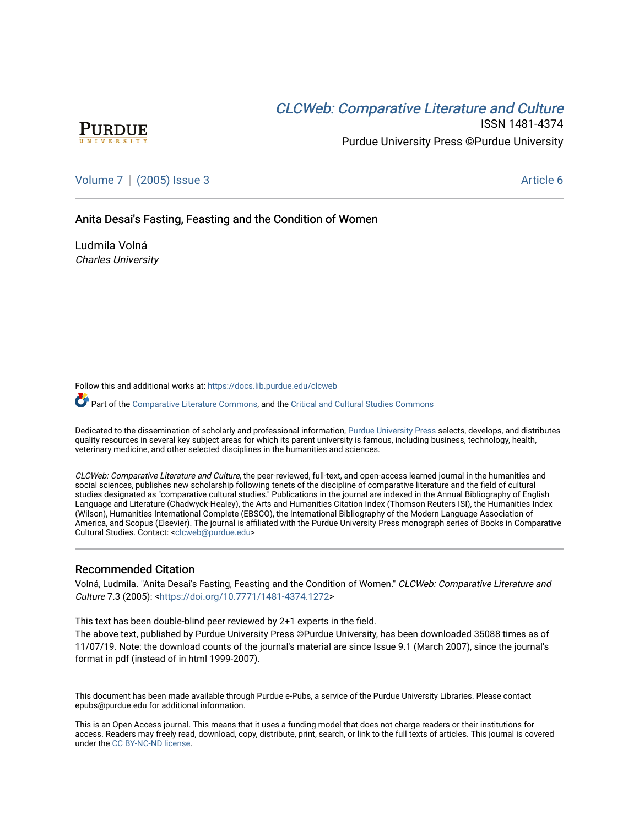# CLCW[eb: Comparative Liter](https://docs.lib.purdue.edu/clcweb)ature and Culture



ISSN 1481-4374 Purdue University Press ©Purdue University

[Volume 7](https://docs.lib.purdue.edu/clcweb/vol7) | [\(2005\) Issue 3](https://docs.lib.purdue.edu/clcweb/vol7/iss3) Article 6

Anita Desai's Fasting, Feasting and the Condition of Women

Ludmila Volná Charles University

Follow this and additional works at: [https://docs.lib.purdue.edu/clcweb](https://docs.lib.purdue.edu/clcweb?utm_source=docs.lib.purdue.edu%2Fclcweb%2Fvol7%2Fiss3%2F6&utm_medium=PDF&utm_campaign=PDFCoverPages)

Part of the [Comparative Literature Commons,](http://network.bepress.com/hgg/discipline/454?utm_source=docs.lib.purdue.edu%2Fclcweb%2Fvol7%2Fiss3%2F6&utm_medium=PDF&utm_campaign=PDFCoverPages) and the [Critical and Cultural Studies Commons](http://network.bepress.com/hgg/discipline/328?utm_source=docs.lib.purdue.edu%2Fclcweb%2Fvol7%2Fiss3%2F6&utm_medium=PDF&utm_campaign=PDFCoverPages) 

Dedicated to the dissemination of scholarly and professional information, [Purdue University Press](http://www.thepress.purdue.edu/) selects, develops, and distributes quality resources in several key subject areas for which its parent university is famous, including business, technology, health, veterinary medicine, and other selected disciplines in the humanities and sciences.

CLCWeb: Comparative Literature and Culture, the peer-reviewed, full-text, and open-access learned journal in the humanities and social sciences, publishes new scholarship following tenets of the discipline of comparative literature and the field of cultural studies designated as "comparative cultural studies." Publications in the journal are indexed in the Annual Bibliography of English Language and Literature (Chadwyck-Healey), the Arts and Humanities Citation Index (Thomson Reuters ISI), the Humanities Index (Wilson), Humanities International Complete (EBSCO), the International Bibliography of the Modern Language Association of America, and Scopus (Elsevier). The journal is affiliated with the Purdue University Press monograph series of Books in Comparative Cultural Studies. Contact: [<clcweb@purdue.edu](mailto:clcweb@purdue.edu)>

#### Recommended Citation

Volná, Ludmila. "Anita Desai's Fasting, Feasting and the Condition of Women." CLCWeb: Comparative Literature and Culture 7.3 (2005): <[https://doi.org/10.7771/1481-4374.1272>](https://doi.org/10.7771/1481-4374.1272)

This text has been double-blind peer reviewed by 2+1 experts in the field.

The above text, published by Purdue University Press ©Purdue University, has been downloaded 35088 times as of 11/07/19. Note: the download counts of the journal's material are since Issue 9.1 (March 2007), since the journal's format in pdf (instead of in html 1999-2007).

This document has been made available through Purdue e-Pubs, a service of the Purdue University Libraries. Please contact epubs@purdue.edu for additional information.

This is an Open Access journal. This means that it uses a funding model that does not charge readers or their institutions for access. Readers may freely read, download, copy, distribute, print, search, or link to the full texts of articles. This journal is covered under the [CC BY-NC-ND license.](https://creativecommons.org/licenses/by-nc-nd/4.0/)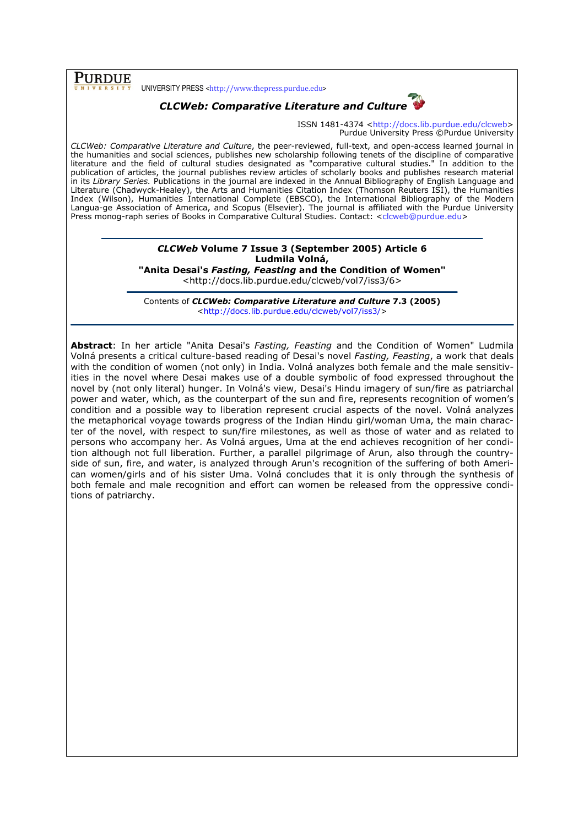## PURDUE

UNIVERSITY PRESS <http://www.thepress.purdue.edu>



ISSN 1481-4374 <http://docs.lib.purdue.edu/clcweb> Purdue University Press ©Purdue University

CLCWeb: Comparative Literature and Culture, the peer-reviewed, full-text, and open-access learned journal in the humanities and social sciences, publishes new scholarship following tenets of the discipline of comparative literature and the field of cultural studies designated as "comparative cultural studies." In addition to the publication of articles, the journal publishes review articles of scholarly books and publishes research material in its Library Series. Publications in the journal are indexed in the Annual Bibliography of English Language and Literature (Chadwyck-Healey), the Arts and Humanities Citation Index (Thomson Reuters ISI), the Humanities Index (Wilson), Humanities International Complete (EBSCO), the International Bibliography of the Modern Langua-ge Association of America, and Scopus (Elsevier). The journal is affiliated with the Purdue University Press monog-raph series of Books in Comparative Cultural Studies. Contact: <clcweb@purdue.edu>

## CLCWeb Volume 7 Issue 3 (September 2005) Article 6 Ludmila Volná,

"Anita Desai's *Fasting, Feasting* and the Condition of Women" <http://docs.lib.purdue.edu/clcweb/vol7/iss3/6>

Contents of CLCWeb: Comparative Literature and Culture 7.3 (2005) <http://docs.lib.purdue.edu/clcweb/vol7/iss3/>

Abstract: In her article "Anita Desai's Fasting, Feasting and the Condition of Women" Ludmila Volná presents a critical culture-based reading of Desai's novel Fasting, Feasting, a work that deals with the condition of women (not only) in India. Volná analyzes both female and the male sensitivities in the novel where Desai makes use of a double symbolic of food expressed throughout the novel by (not only literal) hunger. In Volná's view, Desai's Hindu imagery of sun/fire as patriarchal power and water, which, as the counterpart of the sun and fire, represents recognition of women's condition and a possible way to liberation represent crucial aspects of the novel. Volná analyzes the metaphorical voyage towards progress of the Indian Hindu girl/woman Uma, the main character of the novel, with respect to sun/fire milestones, as well as those of water and as related to persons who accompany her. As Volná argues, Uma at the end achieves recognition of her condition although not full liberation. Further, a parallel pilgrimage of Arun, also through the countryside of sun, fire, and water, is analyzed through Arun's recognition of the suffering of both American women/girls and of his sister Uma. Volná concludes that it is only through the synthesis of both female and male recognition and effort can women be released from the oppressive conditions of patriarchy.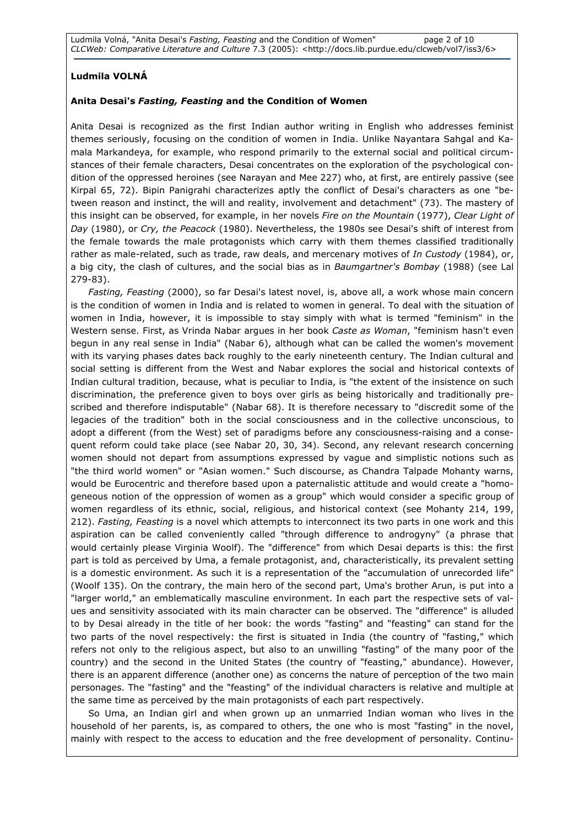### Ludmila VOLNÁ

### Anita Desai's Fasting, Feasting and the Condition of Women

Anita Desai is recognized as the first Indian author writing in English who addresses feminist themes seriously, focusing on the condition of women in India. Unlike Nayantara Sahgal and Kamala Markandeya, for example, who respond primarily to the external social and political circumstances of their female characters, Desai concentrates on the exploration of the psychological condition of the oppressed heroines (see Narayan and Mee 227) who, at first, are entirely passive (see Kirpal 65, 72). Bipin Panigrahi characterizes aptly the conflict of Desai's characters as one "between reason and instinct, the will and reality, involvement and detachment" (73). The mastery of this insight can be observed, for example, in her novels Fire on the Mountain (1977), Clear Light of Day (1980), or Cry, the Peacock (1980). Nevertheless, the 1980s see Desai's shift of interest from the female towards the male protagonists which carry with them themes classified traditionally rather as male-related, such as trade, raw deals, and mercenary motives of In Custody (1984), or, a big city, the clash of cultures, and the social bias as in Baumgartner's Bombay (1988) (see Lal 279-83).

Fasting, Feasting (2000), so far Desai's latest novel, is, above all, a work whose main concern is the condition of women in India and is related to women in general. To deal with the situation of women in India, however, it is impossible to stay simply with what is termed "feminism" in the Western sense. First, as Vrinda Nabar argues in her book Caste as Woman, "feminism hasn't even begun in any real sense in India" (Nabar 6), although what can be called the women's movement with its varying phases dates back roughly to the early nineteenth century. The Indian cultural and social setting is different from the West and Nabar explores the social and historical contexts of Indian cultural tradition, because, what is peculiar to India, is "the extent of the insistence on such discrimination, the preference given to boys over girls as being historically and traditionally prescribed and therefore indisputable" (Nabar 68). It is therefore necessary to "discredit some of the legacies of the tradition" both in the social consciousness and in the collective unconscious, to adopt a different (from the West) set of paradigms before any consciousness-raising and a consequent reform could take place (see Nabar 20, 30, 34). Second, any relevant research concerning women should not depart from assumptions expressed by vague and simplistic notions such as "the third world women" or "Asian women." Such discourse, as Chandra Talpade Mohanty warns, would be Eurocentric and therefore based upon a paternalistic attitude and would create a "homogeneous notion of the oppression of women as a group" which would consider a specific group of women regardless of its ethnic, social, religious, and historical context (see Mohanty 214, 199, 212). Fasting, Feasting is a novel which attempts to interconnect its two parts in one work and this aspiration can be called conveniently called "through difference to androgyny" (a phrase that would certainly please Virginia Woolf). The "difference" from which Desai departs is this: the first part is told as perceived by Uma, a female protagonist, and, characteristically, its prevalent setting is a domestic environment. As such it is a representation of the "accumulation of unrecorded life" (Woolf 135). On the contrary, the main hero of the second part, Uma's brother Arun, is put into a "larger world," an emblematically masculine environment. In each part the respective sets of values and sensitivity associated with its main character can be observed. The "difference" is alluded to by Desai already in the title of her book: the words "fasting" and "feasting" can stand for the two parts of the novel respectively: the first is situated in India (the country of "fasting," which refers not only to the religious aspect, but also to an unwilling "fasting" of the many poor of the country) and the second in the United States (the country of "feasting," abundance). However, there is an apparent difference (another one) as concerns the nature of perception of the two main personages. The "fasting" and the "feasting" of the individual characters is relative and multiple at the same time as perceived by the main protagonists of each part respectively.

So Uma, an Indian girl and when grown up an unmarried Indian woman who lives in the household of her parents, is, as compared to others, the one who is most "fasting" in the novel, mainly with respect to the access to education and the free development of personality. Continu-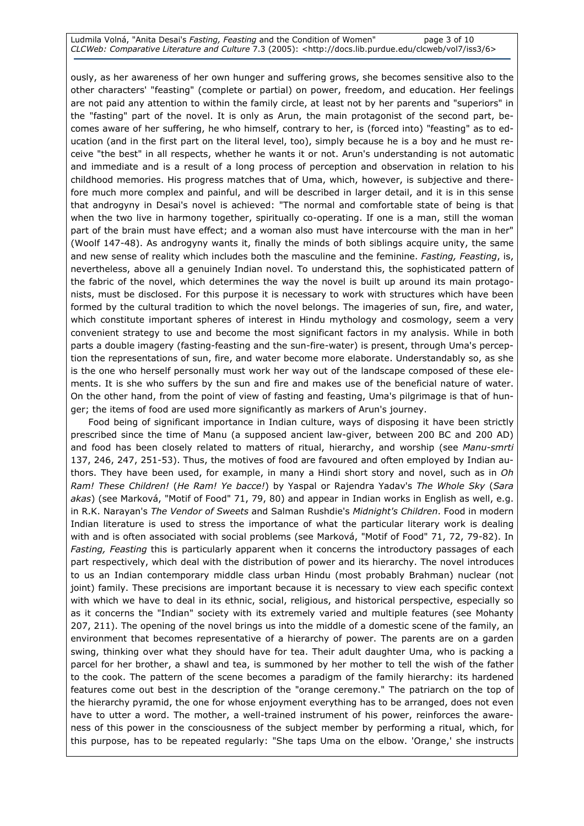#### Ludmila Volná, "Anita Desai's Fasting, Feasting and the Condition of Women" page 3 of 10 CLCWeb: Comparative Literature and Culture 7.3 (2005): <http://docs.lib.purdue.edu/clcweb/vol7/iss3/6>

ously, as her awareness of her own hunger and suffering grows, she becomes sensitive also to the other characters' "feasting" (complete or partial) on power, freedom, and education. Her feelings are not paid any attention to within the family circle, at least not by her parents and "superiors" in the "fasting" part of the novel. It is only as Arun, the main protagonist of the second part, becomes aware of her suffering, he who himself, contrary to her, is (forced into) "feasting" as to education (and in the first part on the literal level, too), simply because he is a boy and he must receive "the best" in all respects, whether he wants it or not. Arun's understanding is not automatic and immediate and is a result of a long process of perception and observation in relation to his childhood memories. His progress matches that of Uma, which, however, is subjective and therefore much more complex and painful, and will be described in larger detail, and it is in this sense that androgyny in Desai's novel is achieved: "The normal and comfortable state of being is that when the two live in harmony together, spiritually co-operating. If one is a man, still the woman part of the brain must have effect; and a woman also must have intercourse with the man in her" (Woolf 147-48). As androgyny wants it, finally the minds of both siblings acquire unity, the same and new sense of reality which includes both the masculine and the feminine. Fasting, Feasting, is, nevertheless, above all a genuinely Indian novel. To understand this, the sophisticated pattern of the fabric of the novel, which determines the way the novel is built up around its main protagonists, must be disclosed. For this purpose it is necessary to work with structures which have been formed by the cultural tradition to which the novel belongs. The imageries of sun, fire, and water, which constitute important spheres of interest in Hindu mythology and cosmology, seem a very convenient strategy to use and become the most significant factors in my analysis. While in both parts a double imagery (fasting-feasting and the sun-fire-water) is present, through Uma's perception the representations of sun, fire, and water become more elaborate. Understandably so, as she is the one who herself personally must work her way out of the landscape composed of these elements. It is she who suffers by the sun and fire and makes use of the beneficial nature of water. On the other hand, from the point of view of fasting and feasting, Uma's pilgrimage is that of hunger; the items of food are used more significantly as markers of Arun's journey.

Food being of significant importance in Indian culture, ways of disposing it have been strictly prescribed since the time of Manu (a supposed ancient law-giver, between 200 BC and 200 AD) and food has been closely related to matters of ritual, hierarchy, and worship (see Manu-smrti 137, 246, 247, 251-53). Thus, the motives of food are favoured and often employed by Indian authors. They have been used, for example, in many a Hindi short story and novel, such as in Oh Ram! These Children! (He Ram! Ye bacce!) by Yaspal or Rajendra Yadav's The Whole Sky (Sara akas) (see Marková, "Motif of Food" 71, 79, 80) and appear in Indian works in English as well, e.g. in R.K. Narayan's The Vendor of Sweets and Salman Rushdie's Midnight's Children. Food in modern Indian literature is used to stress the importance of what the particular literary work is dealing with and is often associated with social problems (see Marková, "Motif of Food" 71, 72, 79-82). In Fasting, Feasting this is particularly apparent when it concerns the introductory passages of each part respectively, which deal with the distribution of power and its hierarchy. The novel introduces to us an Indian contemporary middle class urban Hindu (most probably Brahman) nuclear (not joint) family. These precisions are important because it is necessary to view each specific context with which we have to deal in its ethnic, social, religious, and historical perspective, especially so as it concerns the "Indian" society with its extremely varied and multiple features (see Mohanty 207, 211). The opening of the novel brings us into the middle of a domestic scene of the family, an environment that becomes representative of a hierarchy of power. The parents are on a garden swing, thinking over what they should have for tea. Their adult daughter Uma, who is packing a parcel for her brother, a shawl and tea, is summoned by her mother to tell the wish of the father to the cook. The pattern of the scene becomes a paradigm of the family hierarchy: its hardened features come out best in the description of the "orange ceremony." The patriarch on the top of the hierarchy pyramid, the one for whose enjoyment everything has to be arranged, does not even have to utter a word. The mother, a well-trained instrument of his power, reinforces the awareness of this power in the consciousness of the subject member by performing a ritual, which, for this purpose, has to be repeated regularly: "She taps Uma on the elbow. 'Orange,' she instructs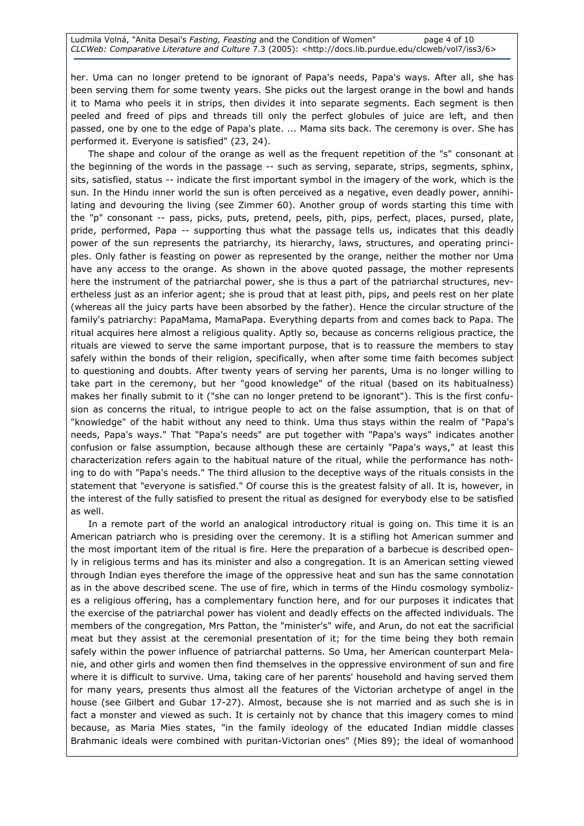her. Uma can no longer pretend to be ignorant of Papa's needs, Papa's ways. After all, she has been serving them for some twenty years. She picks out the largest orange in the bowl and hands it to Mama who peels it in strips, then divides it into separate segments. Each segment is then peeled and freed of pips and threads till only the perfect globules of juice are left, and then passed, one by one to the edge of Papa's plate. ... Mama sits back. The ceremony is over. She has performed it. Everyone is satisfied" (23, 24).

The shape and colour of the orange as well as the frequent repetition of the "s" consonant at the beginning of the words in the passage -- such as serving, separate, strips, segments, sphinx, sits, satisfied, status -- indicate the first important symbol in the imagery of the work, which is the sun. In the Hindu inner world the sun is often perceived as a negative, even deadly power, annihilating and devouring the living (see Zimmer 60). Another group of words starting this time with the "p" consonant -- pass, picks, puts, pretend, peels, pith, pips, perfect, places, pursed, plate, pride, performed, Papa -- supporting thus what the passage tells us, indicates that this deadly power of the sun represents the patriarchy, its hierarchy, laws, structures, and operating principles. Only father is feasting on power as represented by the orange, neither the mother nor Uma have any access to the orange. As shown in the above quoted passage, the mother represents here the instrument of the patriarchal power, she is thus a part of the patriarchal structures, nevertheless just as an inferior agent; she is proud that at least pith, pips, and peels rest on her plate (whereas all the juicy parts have been absorbed by the father). Hence the circular structure of the family's patriarchy: PapaMama, MamaPapa. Everything departs from and comes back to Papa. The ritual acquires here almost a religious quality. Aptly so, because as concerns religious practice, the rituals are viewed to serve the same important purpose, that is to reassure the members to stay safely within the bonds of their religion, specifically, when after some time faith becomes subject to questioning and doubts. After twenty years of serving her parents, Uma is no longer willing to take part in the ceremony, but her "good knowledge" of the ritual (based on its habitualness) makes her finally submit to it ("she can no longer pretend to be ignorant"). This is the first confusion as concerns the ritual, to intrigue people to act on the false assumption, that is on that of "knowledge" of the habit without any need to think. Uma thus stays within the realm of "Papa's needs, Papa's ways." That "Papa's needs" are put together with "Papa's ways" indicates another confusion or false assumption, because although these are certainly "Papa's ways," at least this characterization refers again to the habitual nature of the ritual, while the performance has nothing to do with "Papa's needs." The third allusion to the deceptive ways of the rituals consists in the statement that "everyone is satisfied." Of course this is the greatest falsity of all. It is, however, in the interest of the fully satisfied to present the ritual as designed for everybody else to be satisfied as well.

In a remote part of the world an analogical introductory ritual is going on. This time it is an American patriarch who is presiding over the ceremony. It is a stifling hot American summer and the most important item of the ritual is fire. Here the preparation of a barbecue is described openly in religious terms and has its minister and also a congregation. It is an American setting viewed through Indian eyes therefore the image of the oppressive heat and sun has the same connotation as in the above described scene. The use of fire, which in terms of the Hindu cosmology symbolizes a religious offering, has a complementary function here, and for our purposes it indicates that the exercise of the patriarchal power has violent and deadly effects on the affected individuals. The members of the congregation, Mrs Patton, the "minister's" wife, and Arun, do not eat the sacrificial meat but they assist at the ceremonial presentation of it; for the time being they both remain safely within the power influence of patriarchal patterns. So Uma, her American counterpart Melanie, and other girls and women then find themselves in the oppressive environment of sun and fire where it is difficult to survive. Uma, taking care of her parents' household and having served them for many years, presents thus almost all the features of the Victorian archetype of angel in the house (see Gilbert and Gubar 17-27). Almost, because she is not married and as such she is in fact a monster and viewed as such. It is certainly not by chance that this imagery comes to mind because, as Maria Mies states, "in the family ideology of the educated Indian middle classes Brahmanic ideals were combined with puritan-Victorian ones" (Mies 89); the ideal of womanhood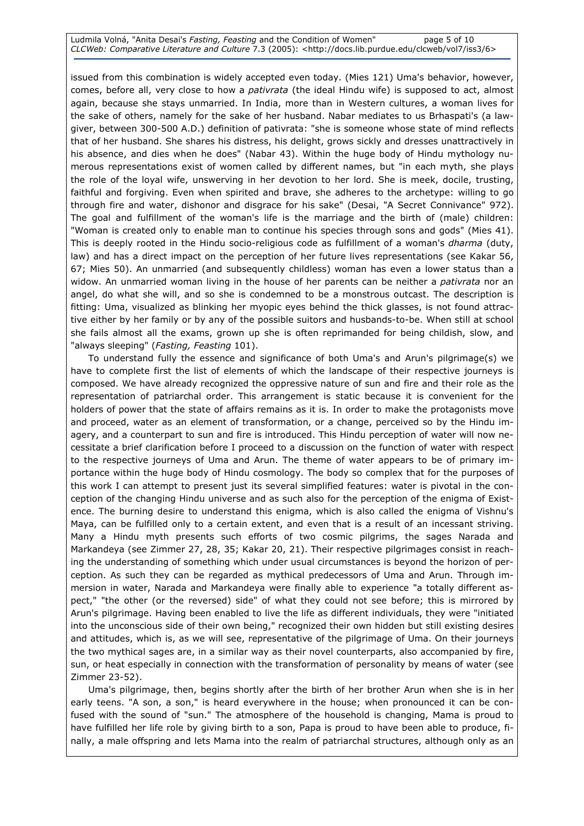Ludmila Volná, "Anita Desai's Fasting, Feasting and the Condition of Women" page 5 of 10 CLCWeb: Comparative Literature and Culture 7.3 (2005): <http://docs.lib.purdue.edu/clcweb/vol7/iss3/6>

issued from this combination is widely accepted even today. (Mies 121) Uma's behavior, however, comes, before all, very close to how a *pativrata* (the ideal Hindu wife) is supposed to act, almost again, because she stays unmarried. In India, more than in Western cultures, a woman lives for the sake of others, namely for the sake of her husband. Nabar mediates to us Brhaspati's (a lawgiver, between 300-500 A.D.) definition of pativrata: "she is someone whose state of mind reflects that of her husband. She shares his distress, his delight, grows sickly and dresses unattractively in his absence, and dies when he does" (Nabar 43). Within the huge body of Hindu mythology numerous representations exist of women called by different names, but "in each myth, she plays the role of the loyal wife, unswerving in her devotion to her lord. She is meek, docile, trusting, faithful and forgiving. Even when spirited and brave, she adheres to the archetype: willing to go through fire and water, dishonor and disgrace for his sake" (Desai, "A Secret Connivance" 972). The goal and fulfillment of the woman's life is the marriage and the birth of (male) children: "Woman is created only to enable man to continue his species through sons and gods" (Mies 41). This is deeply rooted in the Hindu socio-religious code as fulfillment of a woman's *dharma* (duty, law) and has a direct impact on the perception of her future lives representations (see Kakar 56, 67; Mies 50). An unmarried (and subsequently childless) woman has even a lower status than a widow. An unmarried woman living in the house of her parents can be neither a pativrata nor an angel, do what she will, and so she is condemned to be a monstrous outcast. The description is fitting: Uma, visualized as blinking her myopic eyes behind the thick glasses, is not found attractive either by her family or by any of the possible suitors and husbands-to-be. When still at school she fails almost all the exams, grown up she is often reprimanded for being childish, slow, and "always sleeping" (Fasting, Feasting 101).

To understand fully the essence and significance of both Uma's and Arun's pilgrimage(s) we have to complete first the list of elements of which the landscape of their respective journeys is composed. We have already recognized the oppressive nature of sun and fire and their role as the representation of patriarchal order. This arrangement is static because it is convenient for the holders of power that the state of affairs remains as it is. In order to make the protagonists move and proceed, water as an element of transformation, or a change, perceived so by the Hindu imagery, and a counterpart to sun and fire is introduced. This Hindu perception of water will now necessitate a brief clarification before I proceed to a discussion on the function of water with respect to the respective journeys of Uma and Arun. The theme of water appears to be of primary importance within the huge body of Hindu cosmology. The body so complex that for the purposes of this work I can attempt to present just its several simplified features: water is pivotal in the conception of the changing Hindu universe and as such also for the perception of the enigma of Existence. The burning desire to understand this enigma, which is also called the enigma of Vishnu's Maya, can be fulfilled only to a certain extent, and even that is a result of an incessant striving. Many a Hindu myth presents such efforts of two cosmic pilgrims, the sages Narada and Markandeya (see Zimmer 27, 28, 35; Kakar 20, 21). Their respective pilgrimages consist in reaching the understanding of something which under usual circumstances is beyond the horizon of perception. As such they can be regarded as mythical predecessors of Uma and Arun. Through immersion in water, Narada and Markandeya were finally able to experience "a totally different aspect," "the other (or the reversed) side" of what they could not see before; this is mirrored by Arun's pilgrimage. Having been enabled to live the life as different individuals, they were "initiated into the unconscious side of their own being," recognized their own hidden but still existing desires and attitudes, which is, as we will see, representative of the pilgrimage of Uma. On their journeys the two mythical sages are, in a similar way as their novel counterparts, also accompanied by fire, sun, or heat especially in connection with the transformation of personality by means of water (see Zimmer 23-52).

Uma's pilgrimage, then, begins shortly after the birth of her brother Arun when she is in her early teens. "A son, a son," is heard everywhere in the house; when pronounced it can be confused with the sound of "sun." The atmosphere of the household is changing, Mama is proud to have fulfilled her life role by giving birth to a son, Papa is proud to have been able to produce, finally, a male offspring and lets Mama into the realm of patriarchal structures, although only as an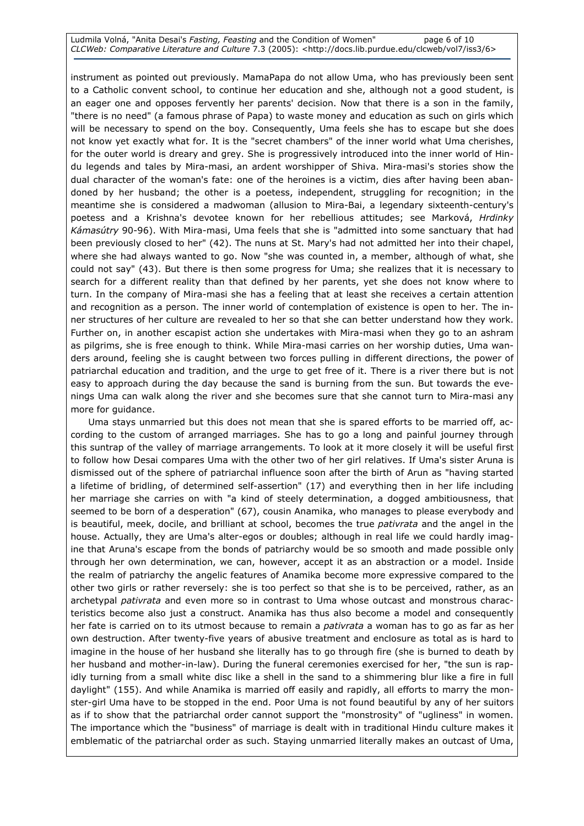Ludmila Volná, "Anita Desai's Fasting, Feasting and the Condition of Women" page 6 of 10 CLCWeb: Comparative Literature and Culture 7.3 (2005): <http://docs.lib.purdue.edu/clcweb/vol7/iss3/6>

instrument as pointed out previously. MamaPapa do not allow Uma, who has previously been sent to a Catholic convent school, to continue her education and she, although not a good student, is an eager one and opposes fervently her parents' decision. Now that there is a son in the family, "there is no need" (a famous phrase of Papa) to waste money and education as such on girls which will be necessary to spend on the boy. Consequently, Uma feels she has to escape but she does not know yet exactly what for. It is the "secret chambers" of the inner world what Uma cherishes, for the outer world is dreary and grey. She is progressively introduced into the inner world of Hindu legends and tales by Mira-masi, an ardent worshipper of Shiva. Mira-masi's stories show the dual character of the woman's fate: one of the heroines is a victim, dies after having been abandoned by her husband; the other is a poetess, independent, struggling for recognition; in the meantime she is considered a madwoman (allusion to Mira-Bai, a legendary sixteenth-century's poetess and a Krishna's devotee known for her rebellious attitudes; see Marková, Hrdinky Kámasútry 90-96). With Mira-masi, Uma feels that she is "admitted into some sanctuary that had been previously closed to her" (42). The nuns at St. Mary's had not admitted her into their chapel, where she had always wanted to go. Now "she was counted in, a member, although of what, she could not say" (43). But there is then some progress for Uma; she realizes that it is necessary to search for a different reality than that defined by her parents, yet she does not know where to turn. In the company of Mira-masi she has a feeling that at least she receives a certain attention and recognition as a person. The inner world of contemplation of existence is open to her. The inner structures of her culture are revealed to her so that she can better understand how they work. Further on, in another escapist action she undertakes with Mira-masi when they go to an ashram as pilgrims, she is free enough to think. While Mira-masi carries on her worship duties, Uma wanders around, feeling she is caught between two forces pulling in different directions, the power of patriarchal education and tradition, and the urge to get free of it. There is a river there but is not easy to approach during the day because the sand is burning from the sun. But towards the evenings Uma can walk along the river and she becomes sure that she cannot turn to Mira-masi any more for guidance.

Uma stays unmarried but this does not mean that she is spared efforts to be married off, according to the custom of arranged marriages. She has to go a long and painful journey through this suntrap of the valley of marriage arrangements. To look at it more closely it will be useful first to follow how Desai compares Uma with the other two of her girl relatives. If Uma's sister Aruna is dismissed out of the sphere of patriarchal influence soon after the birth of Arun as "having started a lifetime of bridling, of determined self-assertion" (17) and everything then in her life including her marriage she carries on with "a kind of steely determination, a dogged ambitiousness, that seemed to be born of a desperation" (67), cousin Anamika, who manages to please everybody and is beautiful, meek, docile, and brilliant at school, becomes the true pativrata and the angel in the house. Actually, they are Uma's alter-egos or doubles; although in real life we could hardly imagine that Aruna's escape from the bonds of patriarchy would be so smooth and made possible only through her own determination, we can, however, accept it as an abstraction or a model. Inside the realm of patriarchy the angelic features of Anamika become more expressive compared to the other two girls or rather reversely: she is too perfect so that she is to be perceived, rather, as an archetypal pativrata and even more so in contrast to Uma whose outcast and monstrous characteristics become also just a construct. Anamika has thus also become a model and consequently her fate is carried on to its utmost because to remain a *pativrata* a woman has to go as far as her own destruction. After twenty-five years of abusive treatment and enclosure as total as is hard to imagine in the house of her husband she literally has to go through fire (she is burned to death by her husband and mother-in-law). During the funeral ceremonies exercised for her, "the sun is rapidly turning from a small white disc like a shell in the sand to a shimmering blur like a fire in full daylight" (155). And while Anamika is married off easily and rapidly, all efforts to marry the monster-girl Uma have to be stopped in the end. Poor Uma is not found beautiful by any of her suitors as if to show that the patriarchal order cannot support the "monstrosity" of "ugliness" in women. The importance which the "business" of marriage is dealt with in traditional Hindu culture makes it emblematic of the patriarchal order as such. Staying unmarried literally makes an outcast of Uma,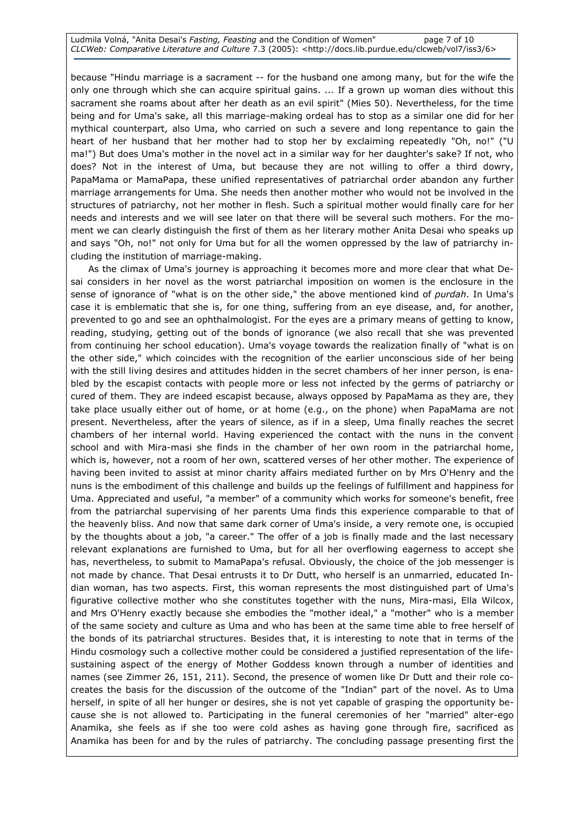Ludmila Volná, "Anita Desai's Fasting, Feasting and the Condition of Women" page 7 of 10 CLCWeb: Comparative Literature and Culture 7.3 (2005): <http://docs.lib.purdue.edu/clcweb/vol7/iss3/6>

because "Hindu marriage is a sacrament -- for the husband one among many, but for the wife the only one through which she can acquire spiritual gains. ... If a grown up woman dies without this sacrament she roams about after her death as an evil spirit" (Mies 50). Nevertheless, for the time being and for Uma's sake, all this marriage-making ordeal has to stop as a similar one did for her mythical counterpart, also Uma, who carried on such a severe and long repentance to gain the heart of her husband that her mother had to stop her by exclaiming repeatedly "Oh, no!" ("U ma!") But does Uma's mother in the novel act in a similar way for her daughter's sake? If not, who does? Not in the interest of Uma, but because they are not willing to offer a third dowry, PapaMama or MamaPapa, these unified representatives of patriarchal order abandon any further marriage arrangements for Uma. She needs then another mother who would not be involved in the structures of patriarchy, not her mother in flesh. Such a spiritual mother would finally care for her needs and interests and we will see later on that there will be several such mothers. For the moment we can clearly distinguish the first of them as her literary mother Anita Desai who speaks up and says "Oh, no!" not only for Uma but for all the women oppressed by the law of patriarchy including the institution of marriage-making.

As the climax of Uma's journey is approaching it becomes more and more clear that what Desai considers in her novel as the worst patriarchal imposition on women is the enclosure in the sense of ignorance of "what is on the other side," the above mentioned kind of purdah. In Uma's case it is emblematic that she is, for one thing, suffering from an eye disease, and, for another, prevented to go and see an ophthalmologist. For the eyes are a primary means of getting to know, reading, studying, getting out of the bonds of ignorance (we also recall that she was prevented from continuing her school education). Uma's voyage towards the realization finally of "what is on the other side," which coincides with the recognition of the earlier unconscious side of her being with the still living desires and attitudes hidden in the secret chambers of her inner person, is enabled by the escapist contacts with people more or less not infected by the germs of patriarchy or cured of them. They are indeed escapist because, always opposed by PapaMama as they are, they take place usually either out of home, or at home (e.g., on the phone) when PapaMama are not present. Nevertheless, after the years of silence, as if in a sleep, Uma finally reaches the secret chambers of her internal world. Having experienced the contact with the nuns in the convent school and with Mira-masi she finds in the chamber of her own room in the patriarchal home, which is, however, not a room of her own, scattered verses of her other mother. The experience of having been invited to assist at minor charity affairs mediated further on by Mrs O'Henry and the nuns is the embodiment of this challenge and builds up the feelings of fulfillment and happiness for Uma. Appreciated and useful, "a member" of a community which works for someone's benefit, free from the patriarchal supervising of her parents Uma finds this experience comparable to that of the heavenly bliss. And now that same dark corner of Uma's inside, a very remote one, is occupied by the thoughts about a job, "a career." The offer of a job is finally made and the last necessary relevant explanations are furnished to Uma, but for all her overflowing eagerness to accept she has, nevertheless, to submit to MamaPapa's refusal. Obviously, the choice of the job messenger is not made by chance. That Desai entrusts it to Dr Dutt, who herself is an unmarried, educated Indian woman, has two aspects. First, this woman represents the most distinguished part of Uma's figurative collective mother who she constitutes together with the nuns, Mira-masi, Ella Wilcox, and Mrs O'Henry exactly because she embodies the "mother ideal," a "mother" who is a member of the same society and culture as Uma and who has been at the same time able to free herself of the bonds of its patriarchal structures. Besides that, it is interesting to note that in terms of the Hindu cosmology such a collective mother could be considered a justified representation of the lifesustaining aspect of the energy of Mother Goddess known through a number of identities and names (see Zimmer 26, 151, 211). Second, the presence of women like Dr Dutt and their role cocreates the basis for the discussion of the outcome of the "Indian" part of the novel. As to Uma herself, in spite of all her hunger or desires, she is not yet capable of grasping the opportunity because she is not allowed to. Participating in the funeral ceremonies of her "married" alter-ego Anamika, she feels as if she too were cold ashes as having gone through fire, sacrificed as Anamika has been for and by the rules of patriarchy. The concluding passage presenting first the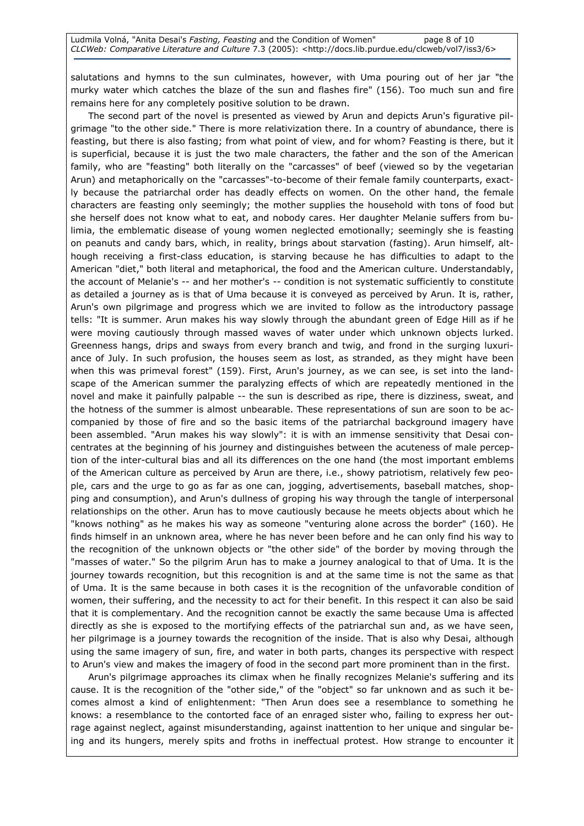salutations and hymns to the sun culminates, however, with Uma pouring out of her jar "the murky water which catches the blaze of the sun and flashes fire" (156). Too much sun and fire remains here for any completely positive solution to be drawn.

The second part of the novel is presented as viewed by Arun and depicts Arun's figurative pilgrimage "to the other side." There is more relativization there. In a country of abundance, there is feasting, but there is also fasting; from what point of view, and for whom? Feasting is there, but it is superficial, because it is just the two male characters, the father and the son of the American family, who are "feasting" both literally on the "carcasses" of beef (viewed so by the vegetarian Arun) and metaphorically on the "carcasses"-to-become of their female family counterparts, exactly because the patriarchal order has deadly effects on women. On the other hand, the female characters are feasting only seemingly; the mother supplies the household with tons of food but she herself does not know what to eat, and nobody cares. Her daughter Melanie suffers from bulimia, the emblematic disease of young women neglected emotionally; seemingly she is feasting on peanuts and candy bars, which, in reality, brings about starvation (fasting). Arun himself, although receiving a first-class education, is starving because he has difficulties to adapt to the American "diet," both literal and metaphorical, the food and the American culture. Understandably, the account of Melanie's -- and her mother's -- condition is not systematic sufficiently to constitute as detailed a journey as is that of Uma because it is conveyed as perceived by Arun. It is, rather, Arun's own pilgrimage and progress which we are invited to follow as the introductory passage tells: "It is summer. Arun makes his way slowly through the abundant green of Edge Hill as if he were moving cautiously through massed waves of water under which unknown objects lurked. Greenness hangs, drips and sways from every branch and twig, and frond in the surging luxuriance of July. In such profusion, the houses seem as lost, as stranded, as they might have been when this was primeval forest" (159). First, Arun's journey, as we can see, is set into the landscape of the American summer the paralyzing effects of which are repeatedly mentioned in the novel and make it painfully palpable -- the sun is described as ripe, there is dizziness, sweat, and the hotness of the summer is almost unbearable. These representations of sun are soon to be accompanied by those of fire and so the basic items of the patriarchal background imagery have been assembled. "Arun makes his way slowly": it is with an immense sensitivity that Desai concentrates at the beginning of his journey and distinguishes between the acuteness of male perception of the inter-cultural bias and all its differences on the one hand (the most important emblems of the American culture as perceived by Arun are there, i.e., showy patriotism, relatively few people, cars and the urge to go as far as one can, jogging, advertisements, baseball matches, shopping and consumption), and Arun's dullness of groping his way through the tangle of interpersonal relationships on the other. Arun has to move cautiously because he meets objects about which he "knows nothing" as he makes his way as someone "venturing alone across the border" (160). He finds himself in an unknown area, where he has never been before and he can only find his way to the recognition of the unknown objects or "the other side" of the border by moving through the "masses of water." So the pilgrim Arun has to make a journey analogical to that of Uma. It is the journey towards recognition, but this recognition is and at the same time is not the same as that of Uma. It is the same because in both cases it is the recognition of the unfavorable condition of women, their suffering, and the necessity to act for their benefit. In this respect it can also be said that it is complementary. And the recognition cannot be exactly the same because Uma is affected directly as she is exposed to the mortifying effects of the patriarchal sun and, as we have seen, her pilgrimage is a journey towards the recognition of the inside. That is also why Desai, although using the same imagery of sun, fire, and water in both parts, changes its perspective with respect to Arun's view and makes the imagery of food in the second part more prominent than in the first.

Arun's pilgrimage approaches its climax when he finally recognizes Melanie's suffering and its cause. It is the recognition of the "other side," of the "object" so far unknown and as such it becomes almost a kind of enlightenment: "Then Arun does see a resemblance to something he knows: a resemblance to the contorted face of an enraged sister who, failing to express her outrage against neglect, against misunderstanding, against inattention to her unique and singular being and its hungers, merely spits and froths in ineffectual protest. How strange to encounter it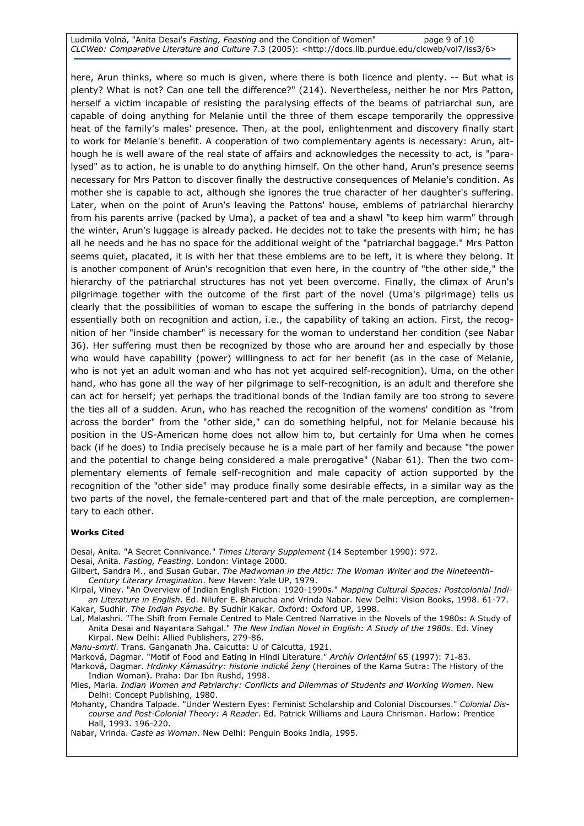Ludmila Volná, "Anita Desai's Fasting, Feasting and the Condition of Women" page 9 of 10 CLCWeb: Comparative Literature and Culture 7.3 (2005): <http://docs.lib.purdue.edu/clcweb/vol7/iss3/6>

here, Arun thinks, where so much is given, where there is both licence and plenty. -- But what is plenty? What is not? Can one tell the difference?" (214). Nevertheless, neither he nor Mrs Patton, herself a victim incapable of resisting the paralysing effects of the beams of patriarchal sun, are capable of doing anything for Melanie until the three of them escape temporarily the oppressive heat of the family's males' presence. Then, at the pool, enlightenment and discovery finally start to work for Melanie's benefit. A cooperation of two complementary agents is necessary: Arun, although he is well aware of the real state of affairs and acknowledges the necessity to act, is "paralysed" as to action, he is unable to do anything himself. On the other hand, Arun's presence seems necessary for Mrs Patton to discover finally the destructive consequences of Melanie's condition. As mother she is capable to act, although she ignores the true character of her daughter's suffering. Later, when on the point of Arun's leaving the Pattons' house, emblems of patriarchal hierarchy from his parents arrive (packed by Uma), a packet of tea and a shawl "to keep him warm" through the winter, Arun's luggage is already packed. He decides not to take the presents with him; he has all he needs and he has no space for the additional weight of the "patriarchal baggage." Mrs Patton seems quiet, placated, it is with her that these emblems are to be left, it is where they belong. It is another component of Arun's recognition that even here, in the country of "the other side," the hierarchy of the patriarchal structures has not yet been overcome. Finally, the climax of Arun's pilgrimage together with the outcome of the first part of the novel (Uma's pilgrimage) tells us clearly that the possibilities of woman to escape the suffering in the bonds of patriarchy depend essentially both on recognition and action, i.e., the capability of taking an action. First, the recognition of her "inside chamber" is necessary for the woman to understand her condition (see Nabar 36). Her suffering must then be recognized by those who are around her and especially by those who would have capability (power) willingness to act for her benefit (as in the case of Melanie, who is not yet an adult woman and who has not yet acquired self-recognition). Uma, on the other hand, who has gone all the way of her pilgrimage to self-recognition, is an adult and therefore she can act for herself; yet perhaps the traditional bonds of the Indian family are too strong to severe the ties all of a sudden. Arun, who has reached the recognition of the womens' condition as "from across the border" from the "other side," can do something helpful, not for Melanie because his position in the US-American home does not allow him to, but certainly for Uma when he comes back (if he does) to India precisely because he is a male part of her family and because "the power and the potential to change being considered a male prerogative" (Nabar 61). Then the two complementary elements of female self-recognition and male capacity of action supported by the recognition of the "other side" may produce finally some desirable effects, in a similar way as the two parts of the novel, the female-centered part and that of the male perception, are complementary to each other.

#### Works Cited

Desai, Anita. "A Secret Connivance." Times Literary Supplement (14 September 1990): 972. Desai, Anita. Fasting, Feasting. London: Vintage 2000.

Gilbert, Sandra M., and Susan Gubar. The Madwoman in the Attic: The Woman Writer and the Nineteenth-Century Literary Imagination. New Haven: Yale UP, 1979.

Kirpal, Viney. "An Overview of Indian English Fiction: 1920-1990s." Mapping Cultural Spaces: Postcolonial Indian Literature in English. Ed. Nilufer E. Bharucha and Vrinda Nabar. New Delhi: Vision Books, 1998. 61-77. Kakar, Sudhir. The Indian Psyche. By Sudhir Kakar. Oxford: Oxford UP, 1998.

Lal, Malashri. "The Shift from Female Centred to Male Centred Narrative in the Novels of the 1980s: A Study of Anita Desai and Nayantara Sahgal." The New Indian Novel in English: A Study of the 1980s. Ed. Viney Kirpal. New Delhi: Allied Publishers, 279-86.

Manu-smrti. Trans. Ganganath Jha. Calcutta: U of Calcutta, 1921.

Marková, Dagmar. "Motif of Food and Eating in Hindi Literature." Archív Orientální 65 (1997): 71-83.

- Marková, Dagmar. Hrdinky Kámasútry: historie indické ženy (Heroines of the Kama Sutra: The History of the Indian Woman). Praha: Dar Ibn Rushd, 1998.
- Mies, Maria. Indian Women and Patriarchy: Conflicts and Dilemmas of Students and Working Women. New Delhi: Concept Publishing, 1980.

Mohanty, Chandra Talpade. "Under Western Eyes: Feminist Scholarship and Colonial Discourses." Colonial Discourse and Post-Colonial Theory: A Reader. Ed. Patrick Williams and Laura Chrisman. Harlow: Prentice Hall, 1993. 196-220.

Nabar, Vrinda. Caste as Woman. New Delhi: Penguin Books India, 1995.